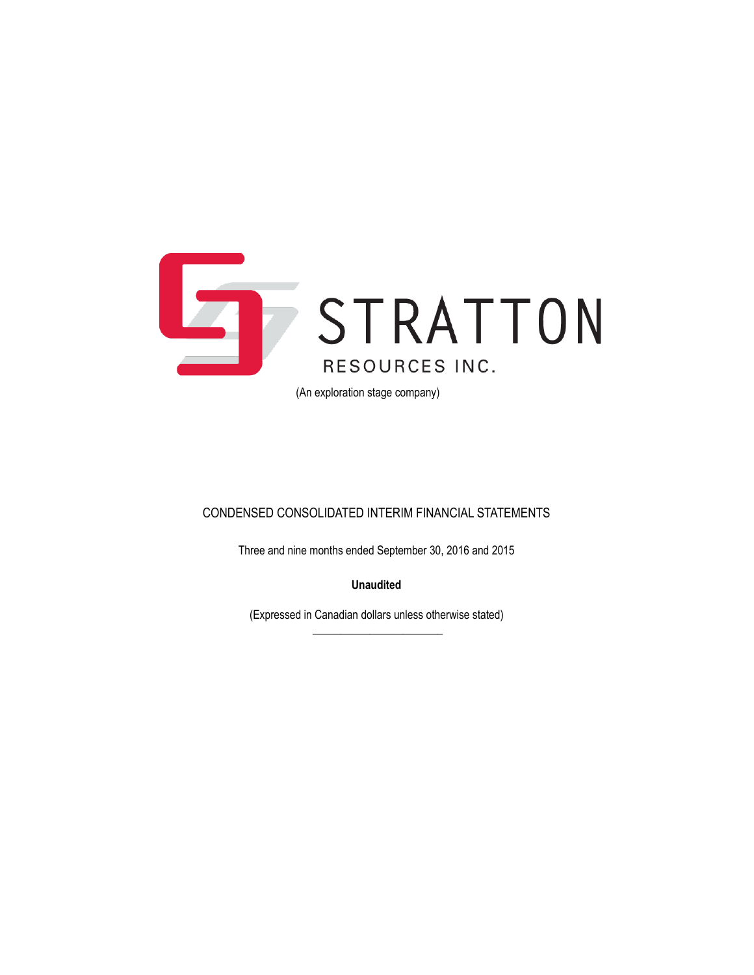

(An exploration stage company)

### CONDENSED CONSOLIDATED INTERIM FINANCIAL STATEMENTS

Three and nine months ended September 30, 2016 and 2015

**Unaudited**

(Expressed in Canadian dollars unless otherwise stated)  $\overline{\phantom{a}}$  , where the contract of the contract of the contract of the contract of the contract of the contract of the contract of the contract of the contract of the contract of the contract of the contract of the contr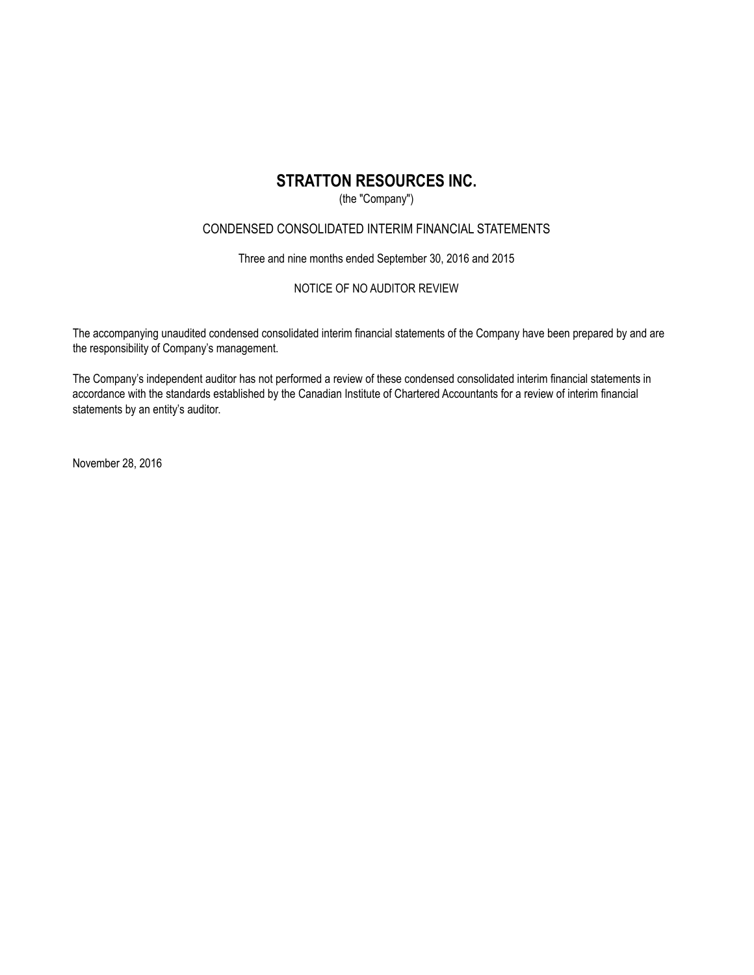### (the "Company")

### CONDENSED CONSOLIDATED INTERIM FINANCIAL STATEMENTS

Three and nine months ended September 30, 2016 and 2015

### NOTICE OF NO AUDITOR REVIEW

The accompanying unaudited condensed consolidated interim financial statements of the Company have been prepared by and are the responsibility of Company's management.

The Company's independent auditor has not performed a review of these condensed consolidated interim financial statements in accordance with the standards established by the Canadian Institute of Chartered Accountants for a review of interim financial statements by an entity's auditor.

November 28, 2016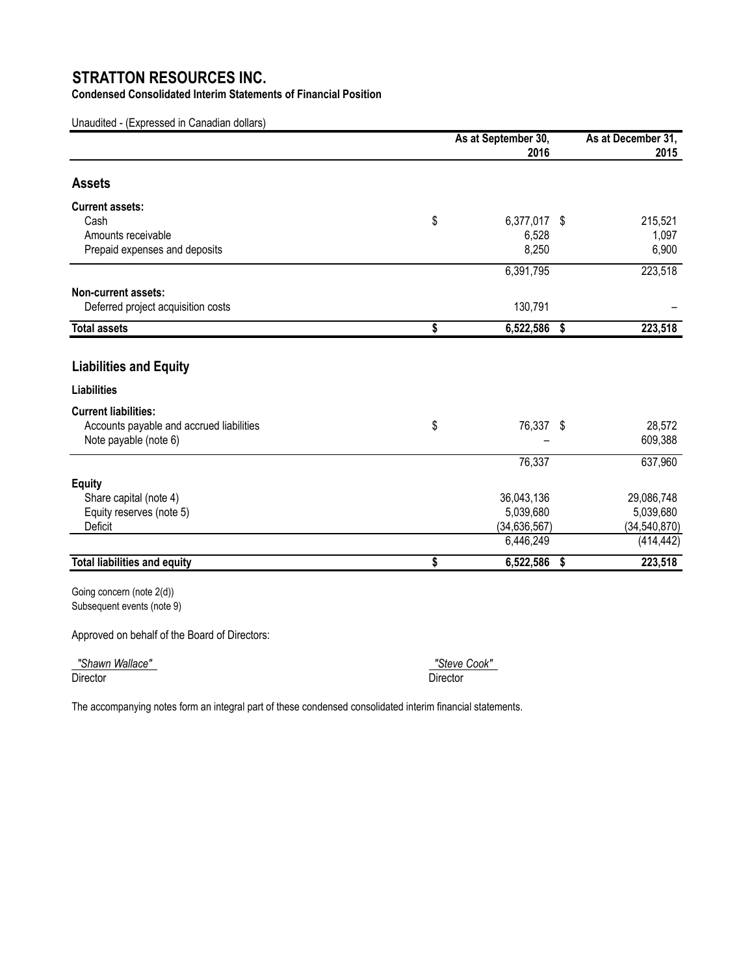**Condensed Consolidated Interim Statements of Financial Position**

Unaudited - (Expressed in Canadian dollars)

|                                                                  | As at September 30,  |     | As at December 31, |  |
|------------------------------------------------------------------|----------------------|-----|--------------------|--|
|                                                                  | 2016                 |     | 2015               |  |
| <b>Assets</b>                                                    |                      |     |                    |  |
| <b>Current assets:</b>                                           |                      |     |                    |  |
| Cash                                                             | \$<br>6,377,017 \$   |     | 215,521            |  |
| Amounts receivable                                               | 6,528                |     | 1,097              |  |
| Prepaid expenses and deposits                                    | 8,250                |     | 6,900              |  |
|                                                                  | 6,391,795            |     | 223,518            |  |
| Non-current assets:                                              |                      |     |                    |  |
| Deferred project acquisition costs                               | 130,791              |     |                    |  |
| <b>Total assets</b>                                              | \$<br>$6,522,586$ \$ |     | 223,518            |  |
|                                                                  |                      |     |                    |  |
| <b>Liabilities and Equity</b>                                    |                      |     |                    |  |
| <b>Liabilities</b>                                               |                      |     |                    |  |
| <b>Current liabilities:</b>                                      |                      |     |                    |  |
| Accounts payable and accrued liabilities                         | \$<br>76,337 \$      |     | 28,572             |  |
| Note payable (note 6)                                            |                      |     | 609,388            |  |
|                                                                  | 76,337               |     | 637,960            |  |
| <b>Equity</b>                                                    |                      |     |                    |  |
| Share capital (note 4)                                           | 36,043,136           |     | 29,086,748         |  |
| Equity reserves (note 5)                                         | 5,039,680            |     | 5,039,680          |  |
| Deficit                                                          | (34, 636, 567)       |     | (34, 540, 870)     |  |
|                                                                  | 6,446,249            |     | (414, 442)         |  |
| <b>Total liabilities and equity</b>                              | \$<br>6,522,586      | -\$ | 223,518            |  |
| $C_{\text{Aina}}$ concern $\left(\text{nat} \frac{1}{2} \right)$ |                      |     |                    |  |

Going concern (note 2(d)) Subsequent events (note 9)

Approved on behalf of the Board of Directors:

 *"Shawn Wallace" "Steve Cook"*  Director Director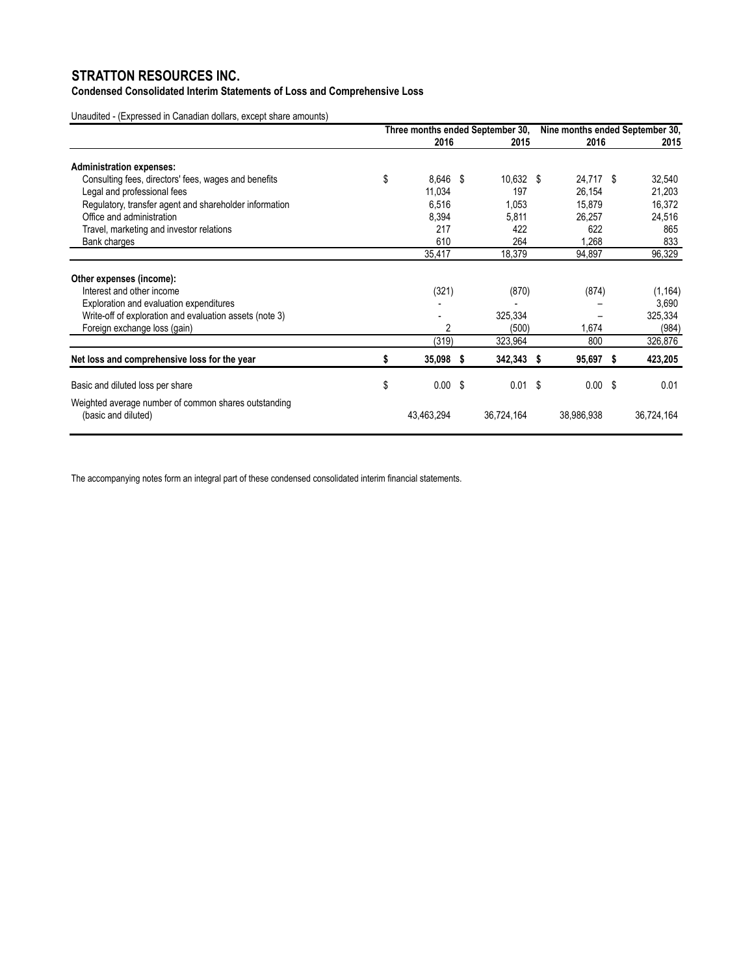**Condensed Consolidated Interim Statements of Loss and Comprehensive Loss**

Unaudited - (Expressed in Canadian dollars, except share amounts)

|    |            |  |                                                                      | Nine months ended September 30, |                                                                                        |   |                                                |
|----|------------|--|----------------------------------------------------------------------|---------------------------------|----------------------------------------------------------------------------------------|---|------------------------------------------------|
|    |            |  |                                                                      |                                 |                                                                                        |   | 2015                                           |
|    |            |  |                                                                      |                                 |                                                                                        |   |                                                |
| \$ |            |  |                                                                      |                                 |                                                                                        |   | 32,540                                         |
|    | 11,034     |  | 197                                                                  |                                 | 26,154                                                                                 |   | 21,203                                         |
|    | 6,516      |  | 1,053                                                                |                                 | 15,879                                                                                 |   | 16,372                                         |
|    | 8,394      |  | 5,811                                                                |                                 | 26,257                                                                                 |   | 24,516                                         |
|    | 217        |  | 422                                                                  |                                 | 622                                                                                    |   | 865                                            |
|    | 610        |  | 264                                                                  |                                 | 1,268                                                                                  |   | 833                                            |
|    | 35,417     |  | 18,379                                                               |                                 | 94,897                                                                                 |   | 96,329                                         |
|    |            |  |                                                                      |                                 |                                                                                        |   |                                                |
|    |            |  |                                                                      |                                 |                                                                                        |   | (1, 164)                                       |
|    |            |  |                                                                      |                                 |                                                                                        |   | 3,690                                          |
|    |            |  | 325,334                                                              |                                 |                                                                                        |   | 325,334                                        |
|    | 2          |  | (500)                                                                |                                 | 1,674                                                                                  |   | (984)                                          |
|    |            |  | 323,964                                                              |                                 | 800                                                                                    |   | 326,876                                        |
| \$ |            |  |                                                                      | -S                              |                                                                                        | 5 | 423,205                                        |
| \$ |            |  |                                                                      |                                 |                                                                                        |   | 0.01                                           |
|    | 43,463,294 |  | 36,724,164                                                           |                                 | 38,986,938                                                                             |   | 36,724,164                                     |
|    |            |  | 2016<br>8,646 \$<br>(321)<br>(319)<br>35,098 \$<br>0.00 <sup>5</sup> |                                 | Three months ended September 30,<br>2015<br>10,632 \$<br>(870)<br>342,343<br>$0.01$ \$ |   | 2016<br>24,717 \$<br>(874)<br>95,697<br>0.00 S |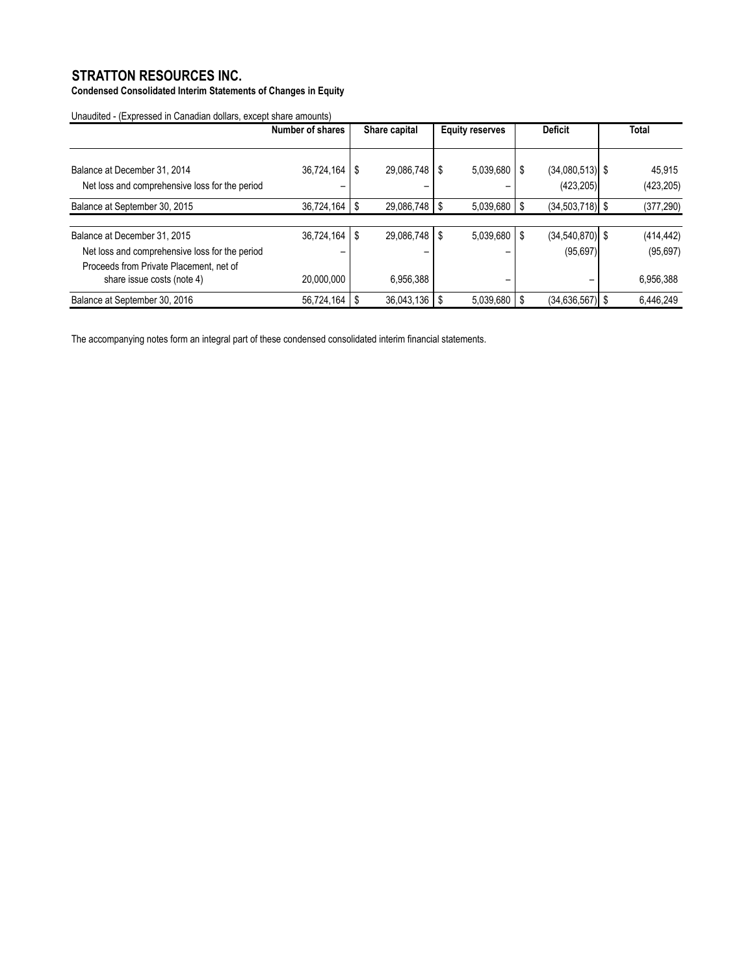**Condensed Consolidated Interim Statements of Changes in Equity**

Unaudited - (Expressed in Canadian dollars, except share amounts)

|                                                | Number of shares |   | Share capital       |      | <b>Equity reserves</b> | <b>Deficit</b> |                     | <b>Total</b> |            |
|------------------------------------------------|------------------|---|---------------------|------|------------------------|----------------|---------------------|--------------|------------|
| Balance at December 31, 2014                   | 36,724,164       | S | 29,086,748          | - \$ | 5,039,680              | S              | $(34,080,513)$ \$   |              | 45,915     |
| Net loss and comprehensive loss for the period |                  |   |                     |      |                        |                | (423, 205)          |              | (423, 205) |
| Balance at September 30, 2015                  | 36,724,164       | S | $29,086,748$ \ \ \$ |      | 5,039,680              | 'S             | $(34,503,718)$ \$   |              | (377, 290) |
|                                                |                  |   |                     |      |                        |                |                     |              |            |
| Balance at December 31, 2015                   | 36,724,164       | S | 29,086,748          | S    | 5,039,680              | S              | $(34, 540, 870)$ \$ |              | (414, 442) |
| Net loss and comprehensive loss for the period |                  |   |                     |      |                        |                | (95, 697)           |              | (95, 697)  |
| Proceeds from Private Placement, net of        |                  |   |                     |      |                        |                |                     |              |            |
| share issue costs (note 4)                     | 20.000.000       |   | 6,956,388           |      |                        |                |                     |              | 6,956,388  |
| Balance at September 30, 2016                  | 56,724,164       |   | $36,043,136$ \ \ \$ |      | $5,039,680$ \$         |                | $(34.636.567)$ \$   |              | 6,446,249  |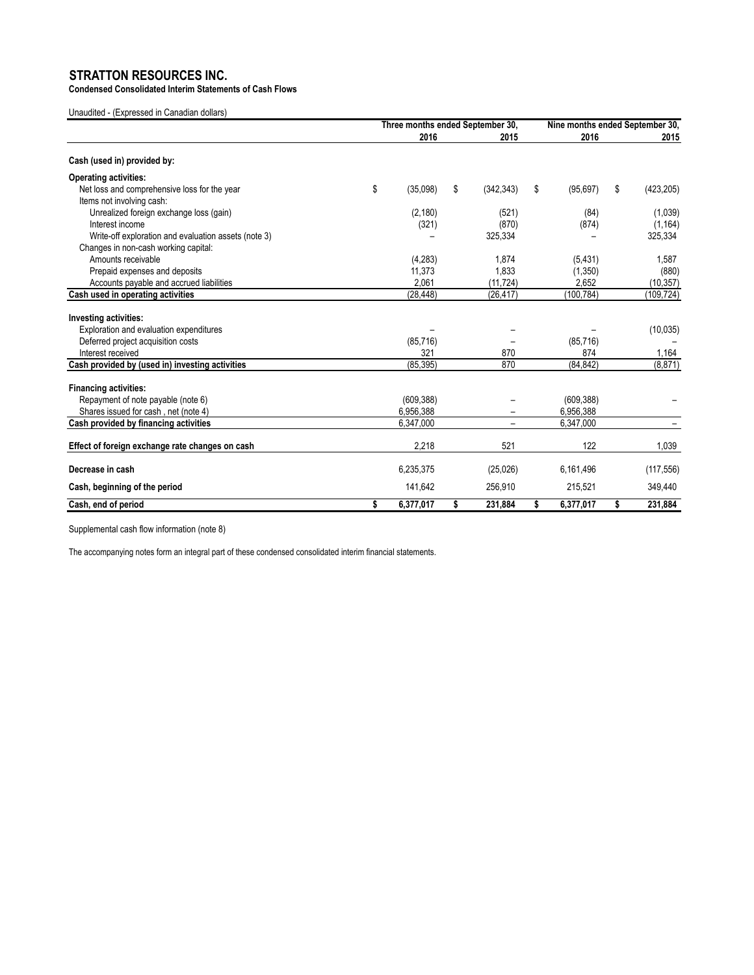**Condensed Consolidated Interim Statements of Cash Flows**

Unaudited - (Expressed in Canadian dollars)

|                                                      | Three months ended September 30, |    |            | Nine months ended September 30, |            |    |            |
|------------------------------------------------------|----------------------------------|----|------------|---------------------------------|------------|----|------------|
|                                                      | 2016                             |    | 2015       |                                 | 2016       |    | 2015       |
| Cash (used in) provided by:                          |                                  |    |            |                                 |            |    |            |
| <b>Operating activities:</b>                         |                                  |    |            |                                 |            |    |            |
| Net loss and comprehensive loss for the year         | \$<br>(35,098)                   | \$ | (342, 343) | \$                              | (95, 697)  | \$ | (423, 205) |
| Items not involving cash:                            |                                  |    |            |                                 |            |    |            |
| Unrealized foreign exchange loss (gain)              | (2, 180)                         |    | (521)      |                                 | (84)       |    | (1,039)    |
| Interest income                                      | (321)                            |    | (870)      |                                 | (874)      |    | (1, 164)   |
| Write-off exploration and evaluation assets (note 3) |                                  |    | 325,334    |                                 |            |    | 325,334    |
| Changes in non-cash working capital:                 |                                  |    |            |                                 |            |    |            |
| Amounts receivable                                   | (4,283)                          |    | 1,874      |                                 | (5, 431)   |    | 1,587      |
| Prepaid expenses and deposits                        | 11,373                           |    | 1,833      |                                 | (1,350)    |    | (880)      |
| Accounts payable and accrued liabilities             | 2.061                            |    | (11, 724)  |                                 | 2.652      |    | (10, 357)  |
| Cash used in operating activities                    | (28, 448)                        |    | (26, 417)  |                                 | (100, 784) |    | (109, 724) |
|                                                      |                                  |    |            |                                 |            |    |            |
| <b>Investing activities:</b>                         |                                  |    |            |                                 |            |    |            |
| Exploration and evaluation expenditures              |                                  |    |            |                                 |            |    | (10, 035)  |
| Deferred project acquisition costs                   | (85, 716)                        |    |            |                                 | (85, 716)  |    |            |
| Interest received                                    | 321                              |    | 870        |                                 | 874        |    | 1,164      |
| Cash provided by (used in) investing activities      | (85, 395)                        |    | 870        |                                 | (84, 842)  |    | (8, 871)   |
| <b>Financing activities:</b>                         |                                  |    |            |                                 |            |    |            |
| Repayment of note payable (note 6)                   | (609, 388)                       |    |            |                                 | (609, 388) |    |            |
| Shares issued for cash, net (note 4)                 | 6,956,388                        |    |            |                                 | 6,956,388  |    |            |
| Cash provided by financing activities                | 6,347,000                        |    |            |                                 | 6,347,000  |    |            |
|                                                      |                                  |    |            |                                 |            |    |            |
| Effect of foreign exchange rate changes on cash      | 2,218                            |    | 521        |                                 | 122        |    | 1,039      |
| Decrease in cash                                     | 6,235,375                        |    | (25, 026)  |                                 | 6,161,496  |    | (117, 556) |
| Cash, beginning of the period                        | 141,642                          |    | 256,910    |                                 | 215,521    |    | 349,440    |
| Cash, end of period                                  | \$<br>6,377,017                  | \$ | 231,884    | s                               | 6,377,017  | \$ | 231,884    |

Supplemental cash flow information (note 8)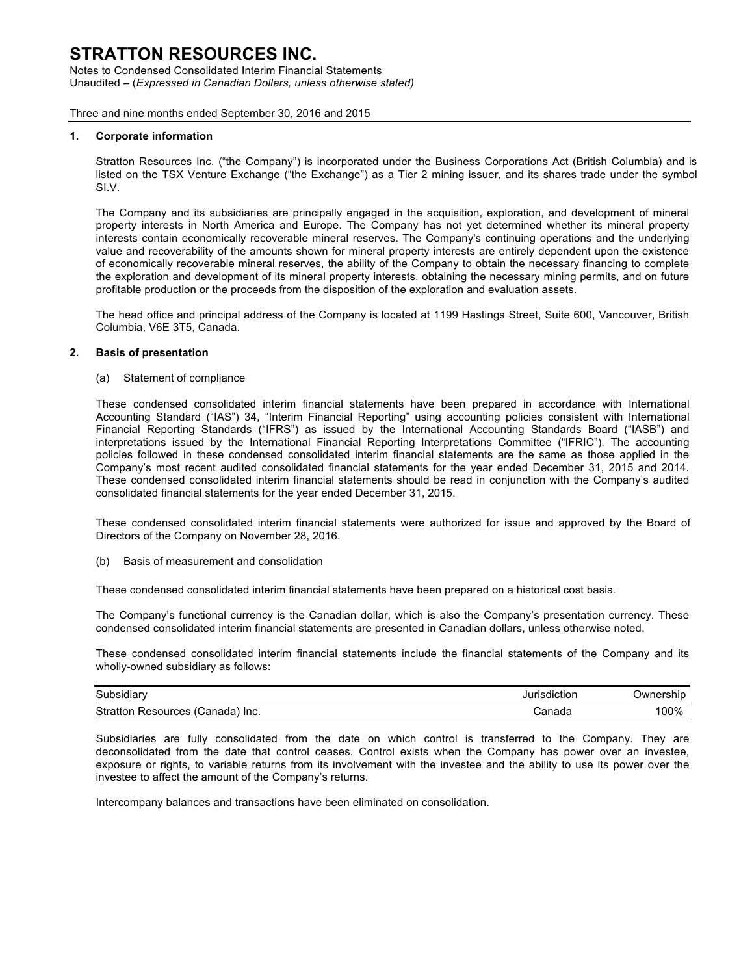Notes to Condensed Consolidated Interim Financial Statements Unaudited – (*Expressed in Canadian Dollars, unless otherwise stated)*

Three and nine months ended September 30, 2016 and 2015

#### **1. Corporate information**

Stratton Resources Inc. ("the Company") is incorporated under the Business Corporations Act (British Columbia) and is listed on the TSX Venture Exchange ("the Exchange") as a Tier 2 mining issuer, and its shares trade under the symbol SI.V.

The Company and its subsidiaries are principally engaged in the acquisition, exploration, and development of mineral property interests in North America and Europe. The Company has not yet determined whether its mineral property interests contain economically recoverable mineral reserves. The Company's continuing operations and the underlying value and recoverability of the amounts shown for mineral property interests are entirely dependent upon the existence of economically recoverable mineral reserves, the ability of the Company to obtain the necessary financing to complete the exploration and development of its mineral property interests, obtaining the necessary mining permits, and on future profitable production or the proceeds from the disposition of the exploration and evaluation assets.

The head office and principal address of the Company is located at 1199 Hastings Street, Suite 600, Vancouver, British Columbia, V6E 3T5, Canada.

#### **2. Basis of presentation**

(a) Statement of compliance

These condensed consolidated interim financial statements have been prepared in accordance with International Accounting Standard ("IAS") 34, "Interim Financial Reporting" using accounting policies consistent with International Financial Reporting Standards ("IFRS") as issued by the International Accounting Standards Board ("IASB") and interpretations issued by the International Financial Reporting Interpretations Committee ("IFRIC"). The accounting policies followed in these condensed consolidated interim financial statements are the same as those applied in the Company's most recent audited consolidated financial statements for the year ended December 31, 2015 and 2014. These condensed consolidated interim financial statements should be read in conjunction with the Company's audited consolidated financial statements for the year ended December 31, 2015.

These condensed consolidated interim financial statements were authorized for issue and approved by the Board of Directors of the Company on November 28, 2016.

(b) Basis of measurement and consolidation

These condensed consolidated interim financial statements have been prepared on a historical cost basis.

The Company's functional currency is the Canadian dollar, which is also the Company's presentation currency. These condensed consolidated interim financial statements are presented in Canadian dollars, unless otherwise noted.

These condensed consolidated interim financial statements include the financial statements of the Company and its wholly-owned subsidiary as follows:

| Subsidiary                                                | <br>diction<br>. | 'shir<br>Jwn<br>ner |
|-----------------------------------------------------------|------------------|---------------------|
| Strat<br>Canada <sup>'</sup><br>วurces<br>` Inc.<br>∕ ص∠. | `onodr<br>sanaua | 100%                |

Subsidiaries are fully consolidated from the date on which control is transferred to the Company. They are deconsolidated from the date that control ceases. Control exists when the Company has power over an investee, exposure or rights, to variable returns from its involvement with the investee and the ability to use its power over the investee to affect the amount of the Company's returns.

Intercompany balances and transactions have been eliminated on consolidation.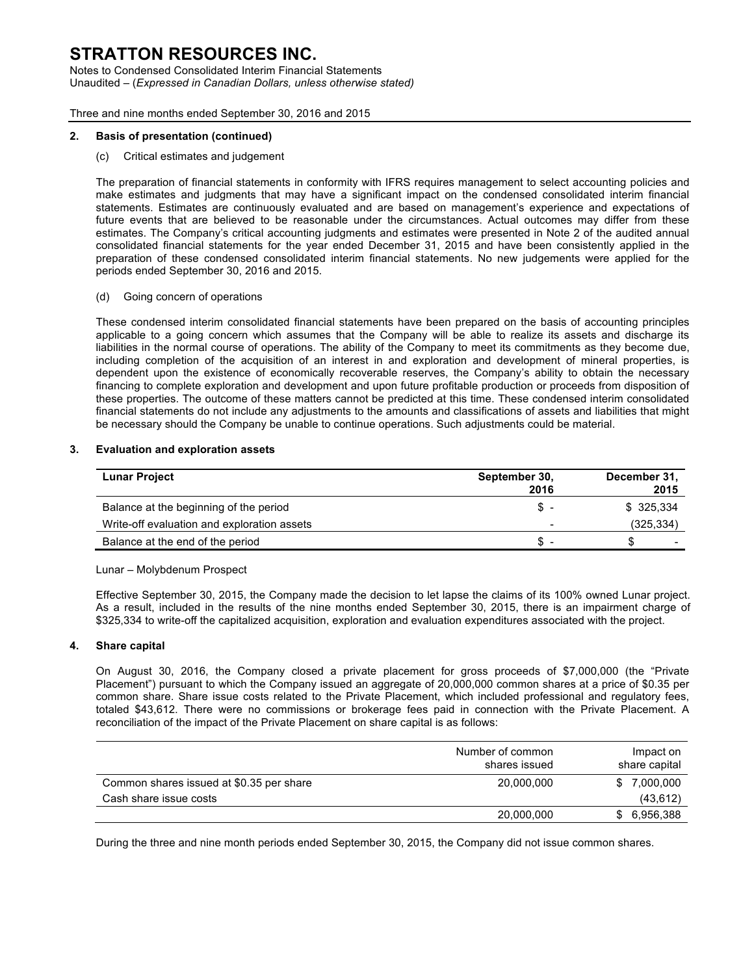Notes to Condensed Consolidated Interim Financial Statements Unaudited – (*Expressed in Canadian Dollars, unless otherwise stated)*

Three and nine months ended September 30, 2016 and 2015

#### **2. Basis of presentation (continued)**

(c) Critical estimates and judgement

The preparation of financial statements in conformity with IFRS requires management to select accounting policies and make estimates and judgments that may have a significant impact on the condensed consolidated interim financial statements. Estimates are continuously evaluated and are based on management's experience and expectations of future events that are believed to be reasonable under the circumstances. Actual outcomes may differ from these estimates. The Company's critical accounting judgments and estimates were presented in Note 2 of the audited annual consolidated financial statements for the year ended December 31, 2015 and have been consistently applied in the preparation of these condensed consolidated interim financial statements. No new judgements were applied for the periods ended September 30, 2016 and 2015.

(d) Going concern of operations

These condensed interim consolidated financial statements have been prepared on the basis of accounting principles applicable to a going concern which assumes that the Company will be able to realize its assets and discharge its liabilities in the normal course of operations. The ability of the Company to meet its commitments as they become due, including completion of the acquisition of an interest in and exploration and development of mineral properties, is dependent upon the existence of economically recoverable reserves, the Company's ability to obtain the necessary financing to complete exploration and development and upon future profitable production or proceeds from disposition of these properties. The outcome of these matters cannot be predicted at this time. These condensed interim consolidated financial statements do not include any adjustments to the amounts and classifications of assets and liabilities that might be necessary should the Company be unable to continue operations. Such adjustments could be material.

#### **3. Evaluation and exploration assets**

| <b>Lunar Project</b>                        | September 30,<br>2016 | December 31,<br>2015 |
|---------------------------------------------|-----------------------|----------------------|
| Balance at the beginning of the period      | S.                    | \$325,334            |
| Write-off evaluation and exploration assets |                       | (325, 334)           |
| Balance at the end of the period            | SS.                   | S.                   |

#### Lunar – Molybdenum Prospect

Effective September 30, 2015, the Company made the decision to let lapse the claims of its 100% owned Lunar project. As a result, included in the results of the nine months ended September 30, 2015, there is an impairment charge of \$325,334 to write-off the capitalized acquisition, exploration and evaluation expenditures associated with the project.

#### **4. Share capital**

On August 30, 2016, the Company closed a private placement for gross proceeds of \$7,000,000 (the "Private Placement") pursuant to which the Company issued an aggregate of 20,000,000 common shares at a price of \$0.35 per common share. Share issue costs related to the Private Placement, which included professional and regulatory fees, totaled \$43,612. There were no commissions or brokerage fees paid in connection with the Private Placement. A reconciliation of the impact of the Private Placement on share capital is as follows:

|                                          | Number of common<br>shares issued | Impact on<br>share capital |
|------------------------------------------|-----------------------------------|----------------------------|
| Common shares issued at \$0.35 per share | 20,000,000                        | 7,000,000                  |
| Cash share issue costs                   |                                   | (43, 612)                  |
|                                          | 20,000,000                        | 6,956,388                  |

During the three and nine month periods ended September 30, 2015, the Company did not issue common shares.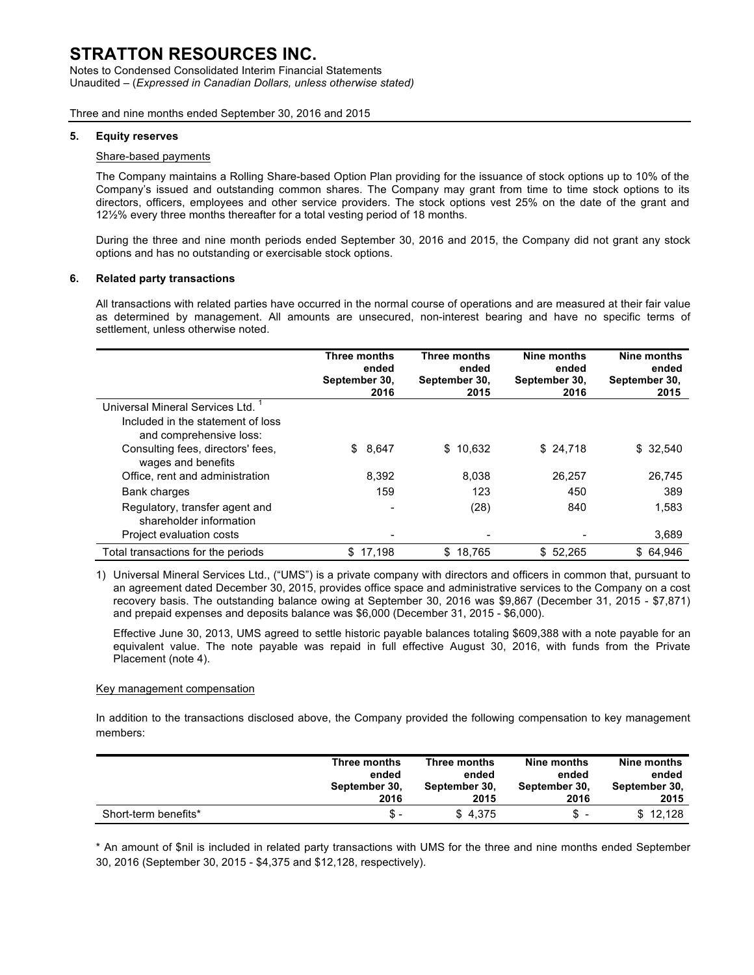Notes to Condensed Consolidated Interim Financial Statements Unaudited – (*Expressed in Canadian Dollars, unless otherwise stated)*

Three and nine months ended September 30, 2016 and 2015

#### **5. Equity reserves**

#### Share-based payments

The Company maintains a Rolling Share-based Option Plan providing for the issuance of stock options up to 10% of the Company's issued and outstanding common shares. The Company may grant from time to time stock options to its directors, officers, employees and other service providers. The stock options vest 25% on the date of the grant and 12½% every three months thereafter for a total vesting period of 18 months.

During the three and nine month periods ended September 30, 2016 and 2015, the Company did not grant any stock options and has no outstanding or exercisable stock options.

#### **6. Related party transactions**

All transactions with related parties have occurred in the normal course of operations and are measured at their fair value as determined by management. All amounts are unsecured, non-interest bearing and have no specific terms of settlement, unless otherwise noted.

|                                                                                                 | Three months<br>ended<br>September 30,<br>2016 | Three months<br>ended<br>September 30,<br>2015 | Nine months<br>ended<br>September 30,<br>2016 | Nine months<br>ended<br>September 30,<br>2015 |
|-------------------------------------------------------------------------------------------------|------------------------------------------------|------------------------------------------------|-----------------------------------------------|-----------------------------------------------|
| Universal Mineral Services Ltd.<br>Included in the statement of loss<br>and comprehensive loss: |                                                |                                                |                                               |                                               |
| Consulting fees, directors' fees,<br>wages and benefits                                         | 8,647<br>\$                                    | \$10,632                                       | \$24,718                                      | \$32,540                                      |
| Office, rent and administration                                                                 | 8.392                                          | 8.038                                          | 26.257                                        | 26.745                                        |
| Bank charges                                                                                    | 159                                            | 123                                            | 450                                           | 389                                           |
| Regulatory, transfer agent and<br>shareholder information                                       |                                                | (28)                                           | 840                                           | 1.583                                         |
| Project evaluation costs                                                                        |                                                |                                                |                                               | 3,689                                         |
| Total transactions for the periods                                                              | \$17,198                                       | \$18.765                                       | \$52.265                                      | \$64.946                                      |

1) Universal Mineral Services Ltd., ("UMS") is a private company with directors and officers in common that, pursuant to an agreement dated December 30, 2015, provides office space and administrative services to the Company on a cost recovery basis. The outstanding balance owing at September 30, 2016 was \$9,867 (December 31, 2015 - \$7,871) and prepaid expenses and deposits balance was \$6,000 (December 31, 2015 - \$6,000).

Effective June 30, 2013, UMS agreed to settle historic payable balances totaling \$609,388 with a note payable for an equivalent value. The note payable was repaid in full effective August 30, 2016, with funds from the Private Placement (note 4).

#### Key management compensation

In addition to the transactions disclosed above, the Company provided the following compensation to key management members:

|                      | Three months  | Three months  | Nine months   | Nine months   |
|----------------------|---------------|---------------|---------------|---------------|
|                      | ended         | ended         | ended         | ended         |
|                      | September 30, | September 30. | September 30, | September 30. |
|                      | 2016          | 2015          | 2016          | 2015          |
| Short-term benefits* | \$-           | \$4.375       | S             | \$12.128      |

\* An amount of \$nil is included in related party transactions with UMS for the three and nine months ended September 30, 2016 (September 30, 2015 - \$4,375 and \$12,128, respectively).